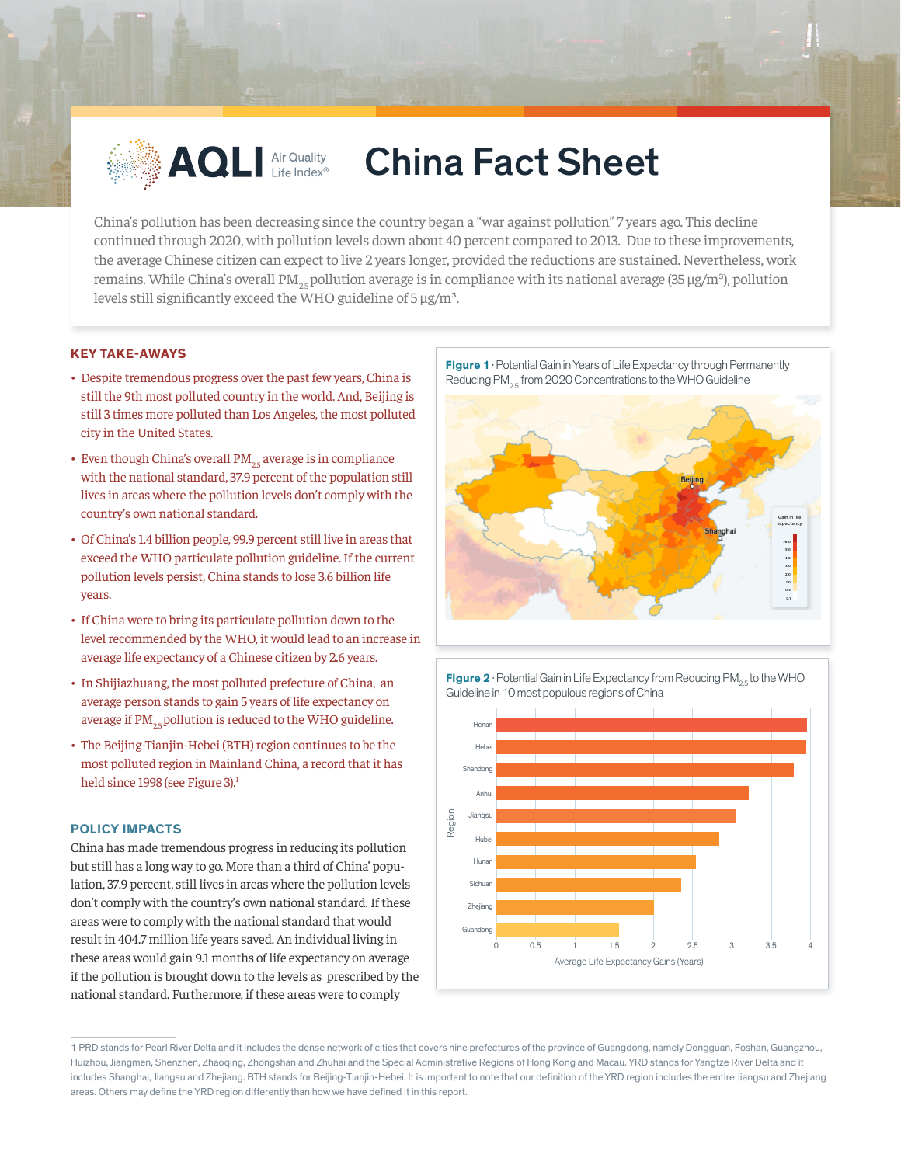

# **AQLI** Air Quality | China Fact Sheet

China's pollution has been decreasing since the country began a "war against pollution" 7 years ago. This decline continued through 2020, with pollution levels down about 40 percent compared to 2013. Due to these improvements, the average Chinese citizen can expect to live 2 years longer, provided the reductions are sustained. Nevertheless, work remains. While China's overall PM<sub>2.5</sub> pollution average is in compliance with its national average (35  $\mu$ g/m<sup>3</sup>), pollution levels still significantly exceed the WHO guideline of  $5 \mu g/m<sup>3</sup>$ .

#### **KEY TAKE-AWAYS**

- Despite tremendous progress over the past few years, China is still the 9th most polluted country in the world. And, Beijing is still 3 times more polluted than Los Angeles, the most polluted city in the United States.
- Even though China's overall  $PM_{25}$  average is in compliance with the national standard, 37.9 percent of the population still lives in areas where the pollution levels don't comply with the country's own national standard.
- Of China's 1.4 billion people, 99.9 percent still live in areas that exceed the WHO particulate pollution guideline. If the current pollution levels persist, China stands to lose 3.6 billion life years.
- If China were to bring its particulate pollution down to the level recommended by the WHO, it would lead to an increase in average life expectancy of a Chinese citizen by 2.6 years.
- In Shijiazhuang, the most polluted prefecture of China, an average person stands to gain 5 years of life expectancy on average if  $PM_{25}$  pollution is reduced to the WHO guideline.
- The Beijing-Tianjin-Hebei (BTH) region continues to be the most polluted region in Mainland China, a record that it has held since 1998 (see Figure 3).<sup>1</sup>

### **POLICY IMPACTS**

China has made tremendous progress in reducing its pollution but still has a long way to go. More than a third of China' population, 37.9 percent, still lives in areas where the pollution levels don't comply with the country's own national standard. If these areas were to comply with the national standard that would result in 404.7 million life years saved. An individual living in these areas would gain 9.1 months of life expectancy on average if the pollution is brought down to the levels as prescribed by the national standard. Furthermore, if these areas were to comply



**Figure 2** · Potential Gain in Life Expectancy from Reducing PM<sub>pe</sub> to the WHO Guideline in 10 most populous regions of China



<sup>1</sup> PRD stands for Pearl River Delta and it includes the dense network of cities that covers nine prefectures of the province of Guangdong, namely Dongguan, Foshan, Guangzhou, Huizhou, Jiangmen, Shenzhen, Zhaoqing, Zhongshan and Zhuhai and the Special Administrative Regions of Hong Kong and Macau. YRD stands for Yangtze River Delta and it includes Shanghai, Jiangsu and Zhejiang. BTH stands for Beijing-Tianjin-Hebei. It is important to note that our definition of the YRD region includes the entire Jiangsu and Zhejiang areas. Others may define the YRD region differently than how we have defined it in this report.